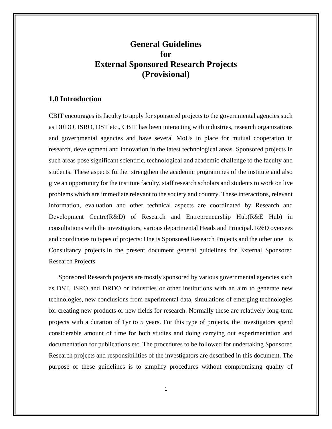### **General Guidelines for External Sponsored Research Projects (Provisional)**

#### **1.0 Introduction**

CBIT encourages its faculty to apply for sponsored projects to the governmental agencies such as DRDO, ISRO, DST etc., CBIT has been interacting with industries, research organizations and governmental agencies and have several MoUs in place for mutual cooperation in research, development and innovation in the latest technological areas. Sponsored projects in such areas pose significant scientific, technological and academic challenge to the faculty and students. These aspects further strengthen the academic programmes of the institute and also give an opportunity for the institute faculty, staff research scholars and students to work on live problems which are immediate relevant to the society and country. These interactions, relevant information, evaluation and other technical aspects are coordinated by Research and Development Centre(R&D) of Research and Entrepreneurship Hub(R&E Hub) in consultations with the investigators, various departmental Heads and Principal. R&D oversees and coordinates to types of projects: One is Sponsored Research Projects and the other one is Consultancy projects.In the present document general guidelines for External Sponsored Research Projects

Sponsored Research projects are mostly sponsored by various governmental agencies such as DST, ISRO and DRDO or industries or other institutions with an aim to generate new technologies, new conclusions from experimental data, simulations of emerging technologies for creating new products or new fields for research. Normally these are relatively long-term projects with a duration of 1yr to 5 years. For this type of projects, the investigators spend considerable amount of time for both studies and doing carrying out experimentation and documentation for publications etc. The procedures to be followed for undertaking Sponsored Research projects and responsibilities of the investigators are described in this document. The purpose of these guidelines is to simplify procedures without compromising quality of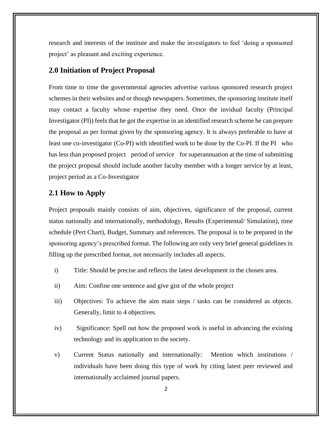research and interests of the institute and make the investigators to feel 'doing a sponsored project' as pleasant and exciting experience.

#### **2.0 Initiation of Project Proposal**

From time to time the governmental agencies advertise various sponsored research project schemes in their websites and or though newspapers. Sometimes, the sponsoring institute itself may contact a faculty whose expertise they need. Once the invidual faculty (Principal Investigator (PI)) feels that he got the expertise in an identified research scheme he can prepare the proposal as per format given by the sponsoring agency. It is always preferable to have at least one co-investigator (Co-PI) with identified work to be done by the Co-PI. If the PI who has less than proposed project period of service for superannuation at the time of submitting the project proposal should include another faculty member with a longer service by at least, project period as a Co-Investigator

#### **2.1 How to Apply**

Project proposals mainly consists of aim, objectives, significance of the proposal, current status nationally and internationally, methodology, Results (Experimental/ Simulation), time schedule (Pert Chart), Budget, Summary and references. The proposal is to be prepared in the sponsoring agency's prescribed format. The following are only very brief general guidelines in filling up the prescribed format, not necessarily includes all aspects.

- i) Title: Should be precise and reflects the latest development in the chosen area.
- ii) Aim: Confine one sentence and give gist of the whole project
- iii) Objectives: To achieve the aim main steps / tasks can be considered as objects. Generally, limit to 4 objectives.
- iv) Significance: Spell out how the proposed work is useful in advancing the existing technology and its application to the society.
- v) Current Status nationally and internationally: Mention which institutions / individuals have been doing this type of work by citing latest peer reviewed and internationally acclaimed journal papers.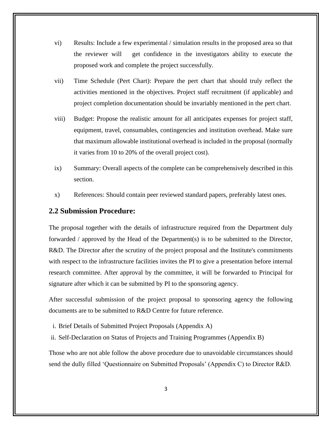- vi) Results: Include a few experimental / simulation results in the proposed area so that the reviewer will get confidence in the investigators ability to execute the proposed work and complete the project successfully.
- vii) Time Schedule (Pert Chart): Prepare the pert chart that should truly reflect the activities mentioned in the objectives. Project staff recruitment (if applicable) and project completion documentation should be invariably mentioned in the pert chart.
- viii) Budget: Propose the realistic amount for all anticipates expenses for project staff, equipment, travel, consumables, contingencies and institution overhead. Make sure that maximum allowable institutional overhead is included in the proposal (normally it varies from 10 to 20% of the overall project cost).
- ix) Summary: Overall aspects of the complete can be comprehensively described in this section.
- x) References: Should contain peer reviewed standard papers, preferably latest ones.

#### **2.2 Submission Procedure:**

The proposal together with the details of infrastructure required from the Department duly forwarded / approved by the Head of the Department(s) is to be submitted to the Director, R&D. The Director after the scrutiny of the project proposal and the Institute's commitments with respect to the infrastructure facilities invites the PI to give a presentation before internal research committee. After approval by the committee, it will be forwarded to Principal for signature after which it can be submitted by PI to the sponsoring agency.

After successful submission of the project proposal to sponsoring agency the following documents are to be submitted to R&D Centre for future reference.

- i. Brief Details of Submitted Project Proposals (Appendix A)
- ii. Self-Declaration on Status of Projects and Training Programmes (Appendix B)

Those who are not able follow the above procedure due to unavoidable circumstances should send the dully filled 'Questionnaire on Submitted Proposals' (Appendix C) to Director R&D.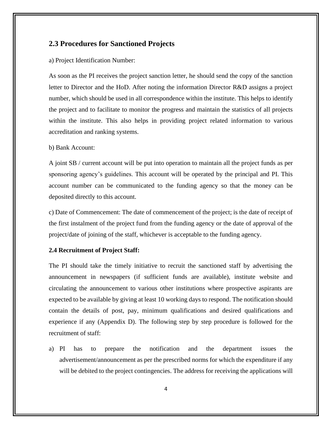#### **2.3 Procedures for Sanctioned Projects**

#### a) Project Identification Number:

As soon as the PI receives the project sanction letter, he should send the copy of the sanction letter to Director and the HoD. After noting the information Director R&D assigns a project number, which should be used in all correspondence within the institute. This helps to identify the project and to facilitate to monitor the progress and maintain the statistics of all projects within the institute. This also helps in providing project related information to various accreditation and ranking systems.

#### b) Bank Account:

A joint SB / current account will be put into operation to maintain all the project funds as per sponsoring agency's guidelines. This account will be operated by the principal and PI. This account number can be communicated to the funding agency so that the money can be deposited directly to this account.

c) Date of Commencement: The date of commencement of the project; is the date of receipt of the first instalment of the project fund from the funding agency or the date of approval of the project/date of joining of the staff, whichever is acceptable to the funding agency.

#### **2.4 Recruitment of Project Staff:**

The PI should take the timely initiative to recruit the sanctioned staff by advertising the announcement in newspapers (if sufficient funds are available), institute website and circulating the announcement to various other institutions where prospective aspirants are expected to be available by giving at least 10 working days to respond. The notification should contain the details of post, pay, minimum qualifications and desired qualifications and experience if any (Appendix D). The following step by step procedure is followed for the recruitment of staff:

a) PI has to prepare the notification and the department issues the advertisement/announcement as per the prescribed norms for which the expenditure if any will be debited to the project contingencies. The address for receiving the applications will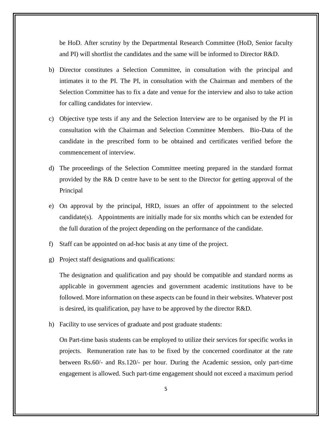be HoD. After scrutiny by the Departmental Research Committee (HoD, Senior faculty and PI) will shortlist the candidates and the same will be informed to Director R&D.

- b) Director constitutes a Selection Committee, in consultation with the principal and intimates it to the PI. The PI, in consultation with the Chairman and members of the Selection Committee has to fix a date and venue for the interview and also to take action for calling candidates for interview.
- c) Objective type tests if any and the Selection Interview are to be organised by the PI in consultation with the Chairman and Selection Committee Members. Bio-Data of the candidate in the prescribed form to be obtained and certificates verified before the commencement of interview.
- d) The proceedings of the Selection Committee meeting prepared in the standard format provided by the R& D centre have to be sent to the Director for getting approval of the Principal
- e) On approval by the principal, HRD, issues an offer of appointment to the selected candidate(s). Appointments are initially made for six months which can be extended for the full duration of the project depending on the performance of the candidate.
- f) Staff can be appointed on ad-hoc basis at any time of the project.
- g) Project staff designations and qualifications:

The designation and qualification and pay should be compatible and standard norms as applicable in government agencies and government academic institutions have to be followed. More information on these aspects can be found in their websites. Whatever post is desired, its qualification, pay have to be approved by the director R&D.

h) Facility to use services of graduate and post graduate students:

On Part-time basis students can be employed to utilize their services for specific works in projects. Remuneration rate has to be fixed by the concerned coordinator at the rate between Rs.60/- and Rs.120/- per hour. During the Academic session, only part-time engagement is allowed. Such part-time engagement should not exceed a maximum period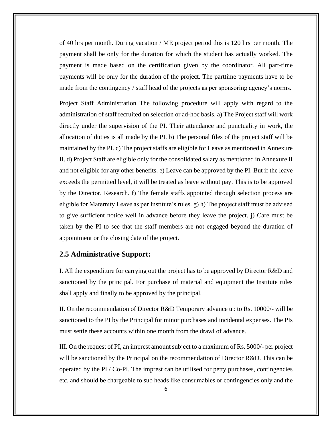of 40 hrs per month. During vacation / ME project period this is 120 hrs per month. The payment shall be only for the duration for which the student has actually worked. The payment is made based on the certification given by the coordinator. All part-time payments will be only for the duration of the project. The parttime payments have to be made from the contingency / staff head of the projects as per sponsoring agency's norms.

Project Staff Administration The following procedure will apply with regard to the administration of staff recruited on selection or ad-hoc basis. a) The Project staff will work directly under the supervision of the PI. Their attendance and punctuality in work, the allocation of duties is all made by the PI. b) The personal files of the project staff will be maintained by the PI. c) The project staffs are eligible for Leave as mentioned in Annexure II. d) Project Staff are eligible only for the consolidated salary as mentioned in Annexure II and not eligible for any other benefits. e) Leave can be approved by the PI. But if the leave exceeds the permitted level, it will be treated as leave without pay. This is to be approved by the Director, Research. f) The female staffs appointed through selection process are eligible for Maternity Leave as per Institute's rules. g) h) The project staff must be advised to give sufficient notice well in advance before they leave the project. j) Care must be taken by the PI to see that the staff members are not engaged beyond the duration of appointment or the closing date of the project.

#### **2.5 Administrative Support:**

I. All the expenditure for carrying out the project has to be approved by Director R&D and sanctioned by the principal. For purchase of material and equipment the Institute rules shall apply and finally to be approved by the principal.

II. On the recommendation of Director R&D Temporary advance up to Rs. 10000/- will be sanctioned to the PI by the Principal for minor purchases and incidental expenses. The PIs must settle these accounts within one month from the drawl of advance.

III. On the request of PI, an imprest amount subject to a maximum of Rs. 5000/- per project will be sanctioned by the Principal on the recommendation of Director R&D. This can be operated by the PI / Co-PI. The imprest can be utilised for petty purchases, contingencies etc. and should be chargeable to sub heads like consumables or contingencies only and the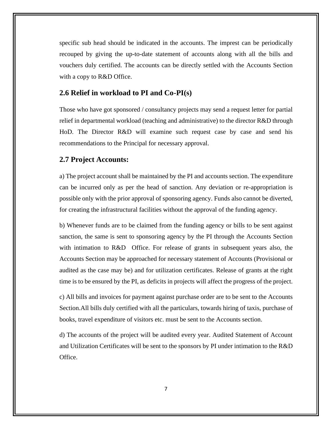specific sub head should be indicated in the accounts. The imprest can be periodically recouped by giving the up-to-date statement of accounts along with all the bills and vouchers duly certified. The accounts can be directly settled with the Accounts Section with a copy to R&D Office.

#### **2.6 Relief in workload to PI and Co-PI(s)**

Those who have got sponsored / consultancy projects may send a request letter for partial relief in departmental workload (teaching and administrative) to the director R&D through HoD. The Director R&D will examine such request case by case and send his recommendations to the Principal for necessary approval.

#### **2.7 Project Accounts:**

a) The project account shall be maintained by the PI and accounts section. The expenditure can be incurred only as per the head of sanction. Any deviation or re-appropriation is possible only with the prior approval of sponsoring agency. Funds also cannot be diverted, for creating the infrastructural facilities without the approval of the funding agency.

b) Whenever funds are to be claimed from the funding agency or bills to be sent against sanction, the same is sent to sponsoring agency by the PI through the Accounts Section with intimation to R&D Office. For release of grants in subsequent years also, the Accounts Section may be approached for necessary statement of Accounts (Provisional or audited as the case may be) and for utilization certificates. Release of grants at the right time is to be ensured by the PI, as deficits in projects will affect the progress of the project.

c) All bills and invoices for payment against purchase order are to be sent to the Accounts Section.All bills duly certified with all the particulars, towards hiring of taxis, purchase of books, travel expenditure of visitors etc. must be sent to the Accounts section.

d) The accounts of the project will be audited every year. Audited Statement of Account and Utilization Certificates will be sent to the sponsors by PI under intimation to the R&D Office.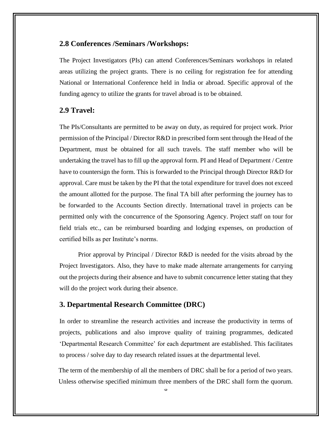#### **2.8 Conferences /Seminars /Workshops:**

The Project Investigators (PIs) can attend Conferences/Seminars workshops in related areas utilizing the project grants. There is no ceiling for registration fee for attending National or International Conference held in India or abroad. Specific approval of the funding agency to utilize the grants for travel abroad is to be obtained.

#### **2.9 Travel:**

The PIs/Consultants are permitted to be away on duty, as required for project work. Prior permission of the Principal / Director R&D in prescribed form sent through the Head of the Department, must be obtained for all such travels. The staff member who will be undertaking the travel has to fill up the approval form. PI and Head of Department / Centre have to countersign the form. This is forwarded to the Principal through Director R&D for approval. Care must be taken by the PI that the total expenditure for travel does not exceed the amount allotted for the purpose. The final TA bill after performing the journey has to be forwarded to the Accounts Section directly. International travel in projects can be permitted only with the concurrence of the Sponsoring Agency. Project staff on tour for field trials etc., can be reimbursed boarding and lodging expenses, on production of certified bills as per Institute's norms.

Prior approval by Principal / Director R&D is needed for the visits abroad by the Project Investigators. Also, they have to make made alternate arrangements for carrying out the projects during their absence and have to submit concurrence letter stating that they will do the project work during their absence.

#### **3. Departmental Research Committee (DRC)**

In order to streamline the research activities and increase the productivity in terms of projects, publications and also improve quality of training programmes, dedicated 'Departmental Research Committee' for each department are established. This facilitates to process / solve day to day research related issues at the departmental level.

The term of the membership of all the members of DRC shall be for a period of two years. Unless otherwise specified minimum three members of the DRC shall form the quorum.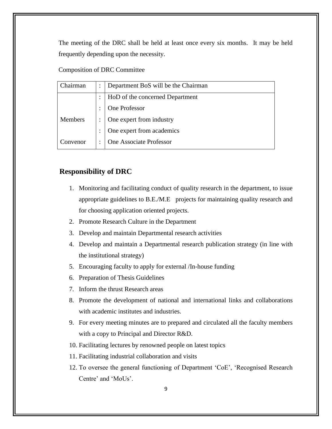The meeting of the DRC shall be held at least once every six months. It may be held frequently depending upon the necessity.

#### Composition of DRC Committee

| <b>hairman</b> | Department BoS will be the Chairman |
|----------------|-------------------------------------|
|                | HoD of the concerned Department     |
|                | One Professor                       |
| <b>Members</b> | One expert from industry            |
|                | One expert from academics           |
| Convenor       | One Associate Professor             |

### **Responsibility of DRC**

- 1. Monitoring and facilitating conduct of quality research in the department, to issue appropriate guidelines to B.E./M.E projects for maintaining quality research and for choosing application oriented projects.
- 2. Promote Research Culture in the Department
- 3. Develop and maintain Departmental research activities
- 4. Develop and maintain a Departmental research publication strategy (in line with the institutional strategy)
- 5. Encouraging faculty to apply for external /In-house funding
- 6. Preparation of Thesis Guidelines
- 7. Inform the thrust Research areas
- 8. Promote the development of national and international links and collaborations with academic institutes and industries.
- 9. For every meeting minutes are to prepared and circulated all the faculty members with a copy to Principal and Director R&D.
- 10. Facilitating lectures by renowned people on latest topics
- 11. Facilitating industrial collaboration and visits
- 12. To oversee the general functioning of Department 'CoE', 'Recognised Research Centre' and 'MoUs'.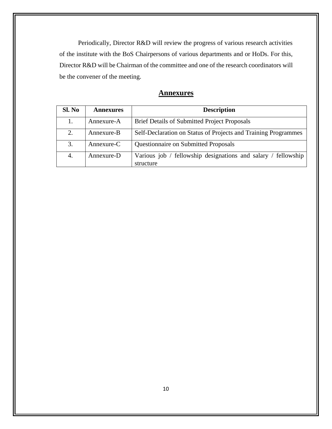Periodically, Director R&D will review the progress of various research activities of the institute with the BoS Chairpersons of various departments and or HoDs. For this, Director R&D will be Chairman of the committee and one of the research coordinators will be the convener of the meeting.

| <b>Annexures</b> |
|------------------|
|------------------|

| Sl. No | <b>Annexures</b> | <b>Description</b>                                                         |  |
|--------|------------------|----------------------------------------------------------------------------|--|
| 1.     | Annexure-A       | <b>Brief Details of Submitted Project Proposals</b>                        |  |
| 2.     | Annexure-B       | Self-Declaration on Status of Projects and Training Programmes             |  |
| 3.     | Annexure-C       | <b>Questionnaire on Submitted Proposals</b>                                |  |
| 4.     | Annexure-D       | Various job / fellowship designations and salary / fellowship<br>structure |  |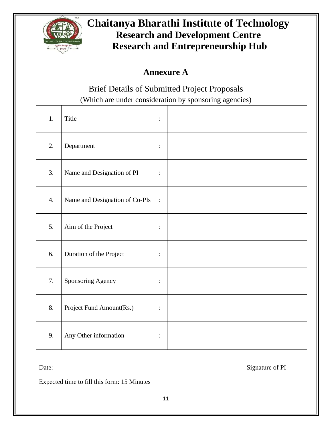

# **Chaitanya Bharathi Institute of Technology Research and Development Centre Research and Entrepreneurship Hub**

## **Annexure A**

Brief Details of Submitted Project Proposals (Which are under consideration by sponsoring agencies)

1. Title : : 2. Department : 3. Name and Designation of PI : 4. Name and Designation of Co-PIs  $\mid$ : 5. Aim of the Project : 6. Duration of the Project : 7. Sponsoring Agency |: 8. Project Fund Amount(Rs.) |: 9. Any Other information :

Date: Signature of PI

Expected time to fill this form: 15 Minutes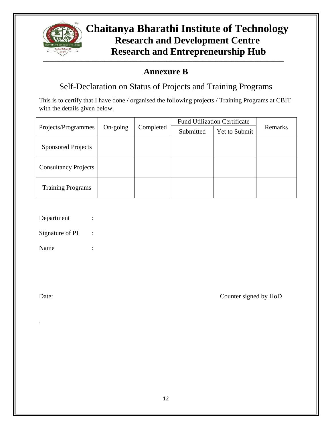

### \_\_\_\_\_\_\_\_\_\_\_\_\_\_\_\_\_\_\_\_\_\_\_\_\_\_\_\_\_\_\_\_\_\_\_\_\_\_\_\_\_\_\_\_\_\_\_\_\_\_\_\_\_\_\_\_\_\_\_\_\_\_\_\_\_\_\_\_\_\_\_\_\_\_ **Chaitanya Bharathi Institute of Technology Research and Development Centre Research and Entrepreneurship Hub**

## **Annexure B**

Self-Declaration on Status of Projects and Training Programs

This is to certify that I have done / organised the following projects / Training Programs at CBIT with the details given below.

|                             | On-going | Completed | <b>Fund Utilization Certificate</b> |               |         |
|-----------------------------|----------|-----------|-------------------------------------|---------------|---------|
| Projects/Programmes         |          |           | Submitted                           | Yet to Submit | Remarks |
| <b>Sponsored Projects</b>   |          |           |                                     |               |         |
| <b>Consultancy Projects</b> |          |           |                                     |               |         |
| <b>Training Programs</b>    |          |           |                                     |               |         |

- Department
- Signature of PI :

Name :

.

Date: Counter signed by HoD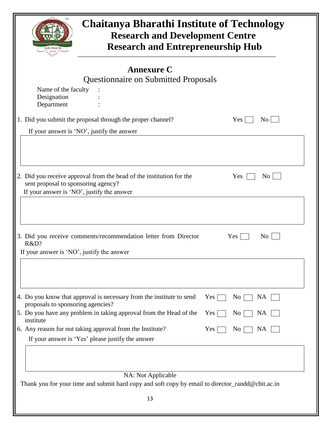| Name of the faculty                                | <b>Questionnaire on Submitted Proposals</b>                                                                                                                                             |
|----------------------------------------------------|-----------------------------------------------------------------------------------------------------------------------------------------------------------------------------------------|
|                                                    |                                                                                                                                                                                         |
| Designation                                        |                                                                                                                                                                                         |
| Department                                         |                                                                                                                                                                                         |
|                                                    | 1. Did you submit the proposal through the proper channel?<br>Yes<br>No                                                                                                                 |
|                                                    | If your answer is 'NO', justify the answer                                                                                                                                              |
|                                                    | 2. Did you receive approval from the head of the institution for the<br>Yes<br>No                                                                                                       |
| sent proposal to sponsoring agency?                | If your answer is 'NO', justify the answer                                                                                                                                              |
| R&D?<br>If your answer is 'NO', justify the answer | 3. Did you receive comments/recommendation letter from Director<br>N <sub>0</sub><br>Yes                                                                                                |
| proposals to sponsoring agencies?<br>institute     | 4. Do you know that approval is necessary from the institute to send<br><b>NA</b><br>Yes<br>No<br>5. Do you have any problem in taking approval from the Head of the<br>Yes<br>No<br>NA |
|                                                    | 6. Any reason for not taking approval from the Institute?<br>Yes<br>No<br>NA<br>If your answer is 'Yes' please justify the answer                                                       |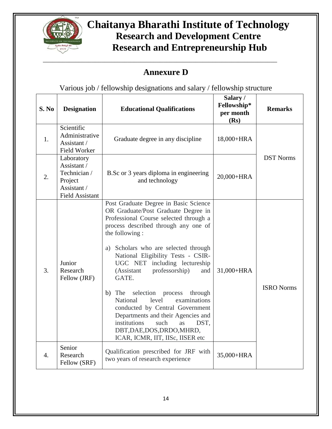

# **Chaitanya Bharathi Institute of Technology Research and Development Centre Research and Entrepreneurship Hub**

## **Annexure D**

Various job / fellowship designations and salary / fellowship structure

| S. No | <b>Designation</b>                                                                            | <b>Educational Qualifications</b>                                                                                                                                                                                                                                                                                                                                                                                                                                                                                                                                                                                        | Salary/<br>Fellowship*<br>per month<br>(Rs) | <b>Remarks</b>    |
|-------|-----------------------------------------------------------------------------------------------|--------------------------------------------------------------------------------------------------------------------------------------------------------------------------------------------------------------------------------------------------------------------------------------------------------------------------------------------------------------------------------------------------------------------------------------------------------------------------------------------------------------------------------------------------------------------------------------------------------------------------|---------------------------------------------|-------------------|
| 1.    | Scientific<br>Administrative<br>Assistant /<br>Field Worker                                   | Graduate degree in any discipline                                                                                                                                                                                                                                                                                                                                                                                                                                                                                                                                                                                        | 18,000+HRA                                  |                   |
| 2.    | Laboratory<br>Assistant /<br>Technician /<br>Project<br>Assistant /<br><b>Field Assistant</b> | B.Sc or 3 years diploma in engineering<br>and technology                                                                                                                                                                                                                                                                                                                                                                                                                                                                                                                                                                 | 20,000+HRA                                  | <b>DST Norms</b>  |
| 3.    | Junior<br>Research<br>Fellow (JRF)                                                            | Post Graduate Degree in Basic Science<br>OR Graduate/Post Graduate Degree in<br>Professional Course selected through a<br>process described through any one of<br>the following:<br>a) Scholars who are selected through<br>National Eligibility Tests - CSIR-<br>UGC NET including lectureship<br>professorship)<br>(Assistant<br>and<br>GATE.<br>selection<br>b)<br>The<br>process<br>through<br>examinations<br><b>National</b><br>level<br>conducted by Central Government<br>Departments and their Agencies and<br>institutions<br>such<br>DST,<br>as<br>DBT,DAE,DOS,DRDO,MHRD,<br>ICAR, ICMR, IIT, IISc, IISER etc | 31,000+HRA                                  | <b>ISRO Norms</b> |
| 4.    | Senior<br>Research<br>Fellow (SRF)                                                            | Qualification prescribed for JRF with<br>two years of research experience                                                                                                                                                                                                                                                                                                                                                                                                                                                                                                                                                | 35,000+HRA                                  |                   |